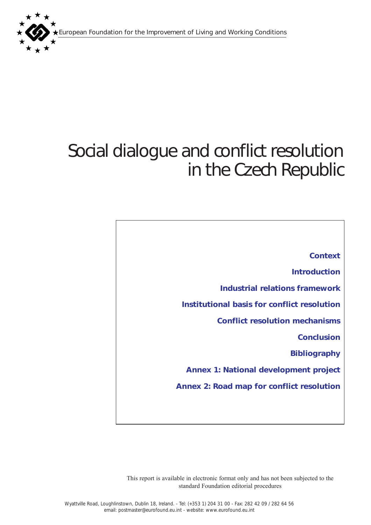European Foundation for the Improvement of Living and Working Conditions



# Social dialogue and conflict resolution in the Czech Republic

*[Context](#page-1-0) [Introduction](#page-1-0) [Industrial relations framework](#page-2-0)  [Institutional basis for conflict resolution](#page-3-0) [Conflict resolution mechanisms](#page-7-0)  [Conclusion](#page-10-0) [Bibliography](#page-12-0) [Annex 1: National development project](#page-13-0) [Annex 2: Road map for conflict resolution](#page-13-0)*

This report is available in electronic format only and has not been subjected to the standard Foundation editorial procedures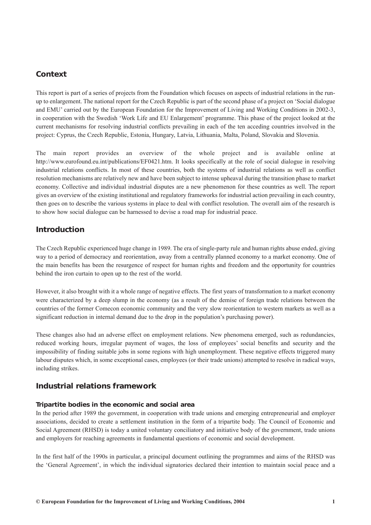# <span id="page-1-0"></span>*Context*

This report is part of a series of projects from the Foundation which focuses on aspects of industrial relations in the runup to enlargement. The national report for the Czech Republic is part of the second phase of a project on 'Social dialogue and EMU' carried out by the European Foundation for the Improvement of Living and Working Conditions in 2002-3, in cooperation with the Swedish 'Work Life and EU Enlargement' programme. This phase of the project looked at the current mechanisms for resolving industrial conflicts prevailing in each of the ten acceding countries involved in the project: Cyprus, the Czech Republic, Estonia, Hungary, Latvia, Lithuania, Malta, Poland, Slovakia and Slovenia.

The main report provides an overview of the whole project and is available online at http://www.eurofound.eu.int/publications/EF0421.htm. It looks specifically at the role of social dialogue in resolving industrial relations conflicts. In most of these countries, both the systems of industrial relations as well as conflict resolution mechanisms are relatively new and have been subject to intense upheaval during the transition phase to market economy. Collective and individual industrial disputes are a new phenomenon for these countries as well. The report gives an overview of the existing institutional and regulatory frameworks for industrial action prevailing in each country, then goes on to describe the various systems in place to deal with conflict resolution. The overall aim of the research is to show how social dialogue can be harnessed to devise a road map for industrial peace.

# *Introduction*

The Czech Republic experienced huge change in 1989. The era of single-party rule and human rights abuse ended, giving way to a period of democracy and reorientation, away from a centrally planned economy to a market economy. One of the main benefits has been the resurgence of respect for human rights and freedom and the opportunity for countries behind the iron curtain to open up to the rest of the world.

However, it also brought with it a whole range of negative effects. The first years of transformation to a market economy were characterized by a deep slump in the economy (as a result of the demise of foreign trade relations between the countries of the former Comecon economic community and the very slow reorientation to western markets as well as a significant reduction in internal demand due to the drop in the population's purchasing power).

These changes also had an adverse effect on employment relations. New phenomena emerged, such as redundancies, reduced working hours, irregular payment of wages, the loss of employees' social benefits and security and the impossibility of finding suitable jobs in some regions with high unemployment. These negative effects triggered many labour disputes which, in some exceptional cases, employees (or their trade unions) attempted to resolve in radical ways, including strikes.

# *Industrial relations framework*

## *Tripartite bodies in the economic and social area*

In the period after 1989 the government, in cooperation with trade unions and emerging entrepreneurial and employer associations, decided to create a settlement institution in the form of a tripartite body. The Council of Economic and Social Agreement (RHSD) is today a united voluntary conciliatory and initiative body of the government, trade unions and employers for reaching agreements in fundamental questions of economic and social development.

In the first half of the 1990s in particular, a principal document outlining the programmes and aims of the RHSD was the 'General Agreement', in which the individual signatories declared their intention to maintain social peace and a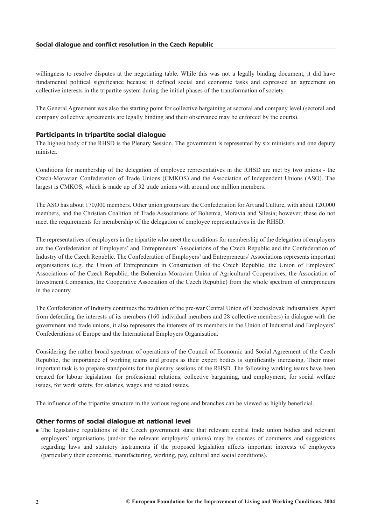<span id="page-2-0"></span>willingness to resolve disputes at the negotiating table. While this was not a legally binding document, it did have fundamental political significance because it defined social and economic tasks and expressed an agreement on collective interests in the tripartite system during the initial phases of the transformation of society.

The General Agreement was also the starting point for collective bargaining at sectoral and company level (sectoral and company collective agreements are legally binding and their observance may be enforced by the courts).

#### *Participants in tripartite social dialogue*

The highest body of the RHSD is the Plenary Session. The government is represented by six ministers and one deputy minister.

Conditions for membership of the delegation of employee representatives in the RHSD are met by two unions - the Czech-Moravian Confederation of Trade Unions (CMKOS) and the Association of Independent Unions (ASO). The largest is CMKOS, which is made up of 32 trade unions with around one million members.

The ASO has about 170,000 members. Other union groups are the Confederation for Art and Culture, with about 120,000 members, and the Christian Coalition of Trade Associations of Bohemia, Moravia and Silesia; however, these do not meet the requirements for membership of the delegation of employee representatives in the RHSD.

The representatives of employers in the tripartite who meet the conditions for membership of the delegation of employers are the Confederation of Employers' and Entrepreneurs' Associations of the Czech Republic and the Confederation of Industry of the Czech Republic. The Confederation of Employers' and Entrepreneurs'Associations represents important organisations (e.g. the Union of Entrepreneurs in Construction of the Czech Republic, the Union of Employers' Associations of the Czech Republic, the Bohemian-Moravian Union of Agricultural Cooperatives, the Association of Investment Companies, the Cooperative Association of the Czech Republic) from the whole spectrum of entrepreneurs in the country.

The Confederation of Industry continues the tradition of the pre-war Central Union of Czechoslovak Industrialists. Apart from defending the interests of its members (160 individual members and 28 collective members) in dialogue with the government and trade unions, it also represents the interests of its members in the Union of Industrial and Employers' Confederations of Europe and the International Employers Organisation.

Considering the rather broad spectrum of operations of the Council of Economic and Social Agreement of the Czech Republic, the importance of working teams and groups as their expert bodies is significantly increasing. Their most important task is to prepare standpoints for the plenary sessions of the RHSD. The following working teams have been created for labour legislation: for professional relations, collective bargaining, and employment, for social welfare issues, for work safety, for salaries, wages and related issues.

The influence of the tripartite structure in the various regions and branches can be viewed as highly beneficial.

#### *Other forms of social dialogue at national level*

 The legislative regulations of the Czech government state that relevant central trade union bodies and relevant employers' organisations (and/or the relevant employers' unions) may be sources of comments and suggestions regarding laws and statutory instruments if the proposed legislation affects important interests of employees (particularly their economic, manufacturing, working, pay, cultural and social conditions).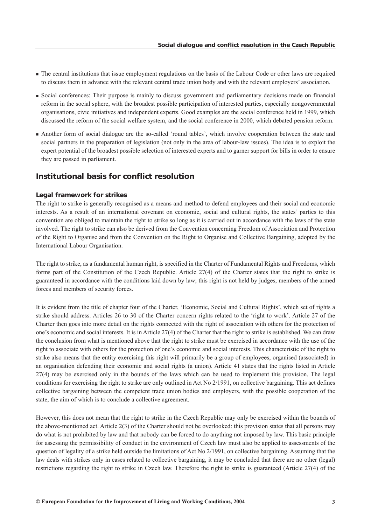- <span id="page-3-0"></span>The central institutions that issue employment regulations on the basis of the Labour Code or other laws are required to discuss them in advance with the relevant central trade union body and with the relevant employers' association.
- Social conferences: Their purpose is mainly to discuss government and parliamentary decisions made on financial reform in the social sphere, with the broadest possible participation of interested parties, especially nongovernmental organisations, civic initiatives and independent experts. Good examples are the social conference held in 1999, which discussed the reform of the social welfare system, and the social conference in 2000, which debated pension reform.
- Another form of social dialogue are the so-called 'round tables', which involve cooperation between the state and social partners in the preparation of legislation (not only in the area of labour-law issues). The idea is to exploit the expert potential of the broadest possible selection of interested experts and to garner support for bills in order to ensure they are passed in parliament.

## *Institutional basis for conflict resolution*

#### *Legal framework for strikes*

The right to strike is generally recognised as a means and method to defend employees and their social and economic interests. As a result of an international covenant on economic, social and cultural rights, the states' parties to this convention are obliged to maintain the right to strike so long as it is carried out in accordance with the laws of the state involved. The right to strike can also be derived from the Convention concerning Freedom of Association and Protection of the Right to Organise and from the Convention on the Right to Organise and Collective Bargaining, adopted by the International Labour Organisation.

The right to strike, as a fundamental human right, is specified in the Charter of Fundamental Rights and Freedoms, which forms part of the Constitution of the Czech Republic. Article 27(4) of the Charter states that the right to strike is guaranteed in accordance with the conditions laid down by law; this right is not held by judges, members of the armed forces and members of security forces.

It is evident from the title of chapter four of the Charter, 'Economic, Social and Cultural Rights', which set of rights a strike should address. Articles 26 to 30 of the Charter concern rights related to the 'right to work'. Article 27 of the Charter then goes into more detail on the rights connected with the right of association with others for the protection of one's economic and social interests. It is in Article 27(4) of the Charter that the right to strike is established. We can draw the conclusion from what is mentioned above that the right to strike must be exercised in accordance with the use of the right to associate with others for the protection of one's economic and social interests. This characteristic of the right to strike also means that the entity exercising this right will primarily be a group of employees, organised (associated) in an organisation defending their economic and social rights (a union). Article 41 states that the rights listed in Article 27(4) may be exercised only in the bounds of the laws which can be used to implement this provision. The legal conditions for exercising the right to strike are only outlined in Act No 2/1991, on collective bargaining. This act defines collective bargaining between the competent trade union bodies and employers, with the possible cooperation of the state, the aim of which is to conclude a collective agreement.

However, this does not mean that the right to strike in the Czech Republic may only be exercised within the bounds of the above-mentioned act. Article 2(3) of the Charter should not be overlooked: this provision states that all persons may do what is not prohibited by law and that nobody can be forced to do anything not imposed by law. This basic principle for assessing the permissibility of conduct in the environment of Czech law must also be applied to assessments of the question of legality of a strike held outside the limitations of Act No 2/1991, on collective bargaining. Assuming that the law deals with strikes only in cases related to collective bargaining, it may be concluded that there are no other (legal) restrictions regarding the right to strike in Czech law. Therefore the right to strike is guaranteed (Article 27(4) of the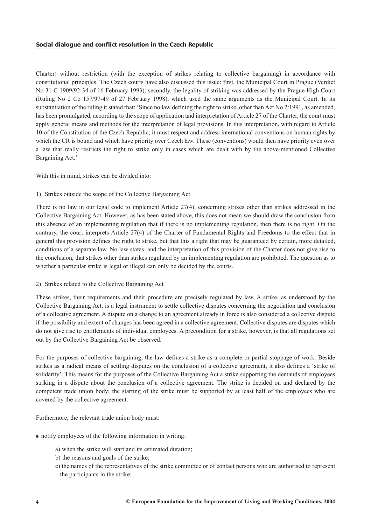Charter) without restriction (with the exception of strikes relating to collective bargaining) in accordance with constitutional principles. The Czech courts have also discussed this issue: first, the Municipal Court in Prague (Verdict No 31 C 1909/92-34 of 16 February 1993); secondly, the legality of striking was addressed by the Prague High Court (Ruling No 2 Co 157/97-49 of 27 February 1998), which used the same arguments as the Municipal Court. In its substantiation of the ruling it stated that: 'Since no law defining the right to strike, other than Act No 2/1991, as amended, has been promulgated, according to the scope of application and interpretation of Article 27 of the Charter, the court must apply general means and methods for the interpretation of legal provisions. In this interpretation, with regard to Article 10 of the Constitution of the Czech Republic, it must respect and address international conventions on human rights by which the CR is bound and which have priority over Czech law. These (conventions) would then have priority even over a law that really restricts the right to strike only in cases which are dealt with by the above-mentioned Collective Bargaining Act.'

With this in mind, strikes can be divided into:

## 1) Strikes outside the scope of the Collective Bargaining Act

There is no law in our legal code to implement Article 27(4), concerning strikes other than strikes addressed in the Collective Bargaining Act. However, as has been stated above, this does not mean we should draw the conclusion from this absence of an implementing regulation that if there is no implementing regulation, then there is no right. On the contrary, the court interprets Article 27(4) of the Charter of Fundamental Rights and Freedoms to the effect that in general this provision defines the right to strike, but that this a right that may be guaranteed by certain, more detailed, conditions of a separate law. No law states, and the interpretation of this provision of the Charter does not give rise to the conclusion, that strikes other than strikes regulated by an implementing regulation are prohibited. The question as to whether a particular strike is legal or illegal can only be decided by the courts.

#### 2) Strikes related to the Collective Bargaining Act

These strikes, their requirements and their procedure are precisely regulated by law. A strike, as understood by the Collective Bargaining Act, is a legal instrument to settle collective disputes concerning the negotiation and conclusion of a collective agreement. A dispute on a change to an agreement already in force is also considered a collective dispute if the possibility and extent of changes has been agreed in a collective agreement. Collective disputes are disputes which do not give rise to entitlements of individual employees. A precondition for a strike, however, is that all regulations set out by the Collective Bargaining Act be observed.

For the purposes of collective bargaining, the law defines a strike as a complete or partial stoppage of work. Beside strikes as a radical means of settling disputes on the conclusion of a collective agreement, it also defines a 'strike of solidarity'. This means for the purposes of the Collective Bargaining Act a strike supporting the demands of employees striking in a dispute about the conclusion of a collective agreement. The strike is decided on and declared by the competent trade union body; the starting of the strike must be supported by at least half of the employees who are covered by the collective agreement.

Furthermore, the relevant trade union body must:

- notify employees of the following information in writing:
	- a) when the strike will start and its estimated duration;
	- b) the reasons and goals of the strike;
	- c) the names of the representatives of the strike committee or of contact persons who are authorised to represent the participants in the strike;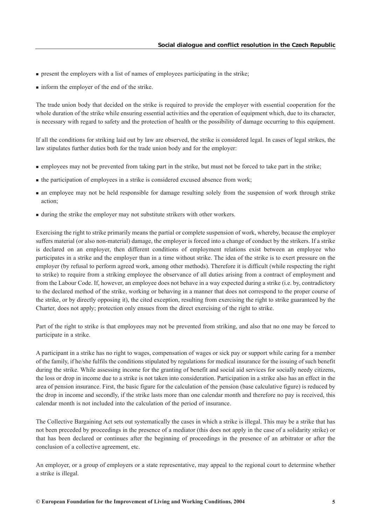- **present the employers with a list of names of employees participating in the strike;**
- inform the employer of the end of the strike.

The trade union body that decided on the strike is required to provide the employer with essential cooperation for the whole duration of the strike while ensuring essential activities and the operation of equipment which, due to its character, is necessary with regard to safety and the protection of health or the possibility of damage occurring to this equipment.

If all the conditions for striking laid out by law are observed, the strike is considered legal. In cases of legal strikes, the law stipulates further duties both for the trade union body and for the employer:

- employees may not be prevented from taking part in the strike, but must not be forced to take part in the strike;
- the participation of employees in a strike is considered excused absence from work;
- an employee may not be held responsible for damage resulting solely from the suspension of work through strike action;
- during the strike the employer may not substitute strikers with other workers.

Exercising the right to strike primarily means the partial or complete suspension of work, whereby, because the employer suffers material (or also non-material) damage, the employer is forced into a change of conduct by the strikers. If a strike is declared on an employer, then different conditions of employment relations exist between an employee who participates in a strike and the employer than in a time without strike. The idea of the strike is to exert pressure on the employer (by refusal to perform agreed work, among other methods). Therefore it is difficult (while respecting the right to strike) to require from a striking employee the observance of all duties arising from a contract of employment and from the Labour Code. If, however, an employee does not behave in a way expected during a strike (i.e. by, contradictory to the declared method of the strike, working or behaving in a manner that does not correspond to the proper course of the strike, or by directly opposing it), the cited exception, resulting from exercising the right to strike guaranteed by the Charter, does not apply; protection only ensues from the direct exercising of the right to strike.

Part of the right to strike is that employees may not be prevented from striking, and also that no one may be forced to participate in a strike.

A participant in a strike has no right to wages, compensation of wages or sick pay or support while caring for a member of the family, if he/she fulfils the conditions stipulated by regulations for medical insurance for the issuing of such benefit during the strike. While assessing income for the granting of benefit and social aid services for socially needy citizens, the loss or drop in income due to a strike is not taken into consideration. Participation in a strike also has an effect in the area of pension insurance. First, the basic figure for the calculation of the pension (base calculative figure) is reduced by the drop in income and secondly, if the strike lasts more than one calendar month and therefore no pay is received, this calendar month is not included into the calculation of the period of insurance.

The Collective Bargaining Act sets out systematically the cases in which a strike is illegal. This may be a strike that has not been preceded by proceedings in the presence of a mediator (this does not apply in the case of a solidarity strike) or that has been declared or continues after the beginning of proceedings in the presence of an arbitrator or after the conclusion of a collective agreement, etc.

An employer, or a group of employers or a state representative, may appeal to the regional court to determine whether a strike is illegal.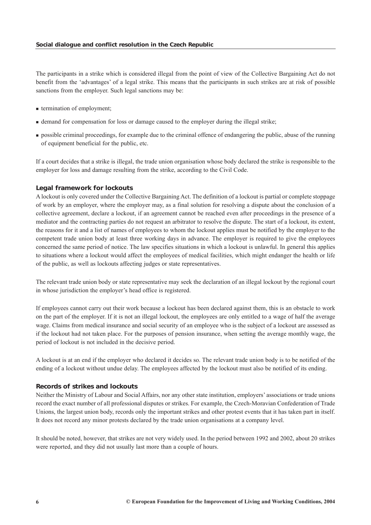The participants in a strike which is considered illegal from the point of view of the Collective Bargaining Act do not benefit from the 'advantages' of a legal strike. This means that the participants in such strikes are at risk of possible sanctions from the employer. Such legal sanctions may be:

- **termination of employment;**
- demand for compensation for loss or damage caused to the employer during the illegal strike;
- possible criminal proceedings, for example due to the criminal offence of endangering the public, abuse of the running of equipment beneficial for the public, etc.

If a court decides that a strike is illegal, the trade union organisation whose body declared the strike is responsible to the employer for loss and damage resulting from the strike, according to the Civil Code.

#### *Legal framework for lockouts*

A lockout is only covered under the Collective Bargaining Act. The definition of a lockout is partial or complete stoppage of work by an employer, where the employer may, as a final solution for resolving a dispute about the conclusion of a collective agreement, declare a lockout, if an agreement cannot be reached even after proceedings in the presence of a mediator and the contracting parties do not request an arbitrator to resolve the dispute. The start of a lockout, its extent, the reasons for it and a list of names of employees to whom the lockout applies must be notified by the employer to the competent trade union body at least three working days in advance. The employer is required to give the employees concerned the same period of notice. The law specifies situations in which a lockout is unlawful. In general this applies to situations where a lockout would affect the employees of medical facilities, which might endanger the health or life of the public, as well as lockouts affecting judges or state representatives.

The relevant trade union body or state representative may seek the declaration of an illegal lockout by the regional court in whose jurisdiction the employer's head office is registered.

If employees cannot carry out their work because a lockout has been declared against them, this is an obstacle to work on the part of the employer. If it is not an illegal lockout, the employees are only entitled to a wage of half the average wage. Claims from medical insurance and social security of an employee who is the subject of a lockout are assessed as if the lockout had not taken place. For the purposes of pension insurance, when setting the average monthly wage, the period of lockout is not included in the decisive period.

A lockout is at an end if the employer who declared it decides so. The relevant trade union body is to be notified of the ending of a lockout without undue delay. The employees affected by the lockout must also be notified of its ending.

#### *Records of strikes and lockouts*

Neither the Ministry of Labour and Social Affairs, nor any other state institution, employers' associations or trade unions record the exact number of all professional disputes or strikes. For example, the Czech-Moravian Confederation of Trade Unions, the largest union body, records only the important strikes and other protest events that it has taken part in itself. It does not record any minor protests declared by the trade union organisations at a company level.

It should be noted, however, that strikes are not very widely used. In the period between 1992 and 2002, about 20 strikes were reported, and they did not usually last more than a couple of hours.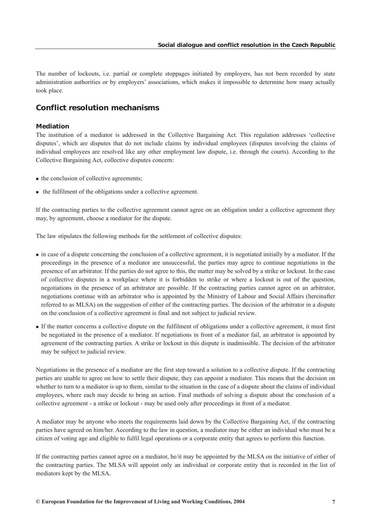<span id="page-7-0"></span>The number of lockouts, i.e. partial or complete stoppages initiated by employers, has not been recorded by state administration authorities or by employers' associations, which makes it impossible to determine how many actually took place.

## *Conflict resolution mechanisms*

## *Mediation*

The institution of a mediator is addressed in the Collective Bargaining Act. This regulation addresses 'collective disputes', which are disputes that do not include claims by individual employees (disputes involving the claims of individual employees are resolved like any other employment law dispute, i.e. through the courts). According to the Collective Bargaining Act, collective disputes concern:

- the conclusion of collective agreements;
- the fulfilment of the obligations under a collective agreement.

If the contracting parties to the collective agreement cannot agree on an obligation under a collective agreement they may, by agreement, choose a mediator for the dispute.

The law stipulates the following methods for the settlement of collective disputes:

- in case of a dispute concerning the conclusion of a collective agreement, it is negotiated initially by a mediator. If the proceedings in the presence of a mediator are unsuccessful, the parties may agree to continue negotiations in the presence of an arbitrator. If the parties do not agree to this, the matter may be solved by a strike or lockout. In the case of collective disputes in a workplace where it is forbidden to strike or where a lockout is out of the question, negotiations in the presence of an arbitrator are possible. If the contracting parties cannot agree on an arbitrator, negotiations continue with an arbitrator who is appointed by the Ministry of Labour and Social Affairs (hereinafter referred to as MLSA) on the suggestion of either of the contracting parties. The decision of the arbitrator in a dispute on the conclusion of a collective agreement is final and not subject to judicial review.
- If the matter concerns a collective dispute on the fulfilment of obligations under a collective agreement, it must first be negotiated in the presence of a mediator. If negotiations in front of a mediator fail, an arbitrator is appointed by agreement of the contracting parties. A strike or lockout in this dispute is inadmissible. The decision of the arbitrator may be subject to judicial review.

Negotiations in the presence of a mediator are the first step toward a solution to a collective dispute. If the contracting parties are unable to agree on how to settle their dispute, they can appoint a mediator. This means that the decision on whether to turn to a mediator is up to them, similar to the situation in the case of a dispute about the claims of individual employees, where each may decide to bring an action. Final methods of solving a dispute about the conclusion of a collective agreement - a strike or lockout - may be used only after proceedings in front of a mediator.

A mediator may be anyone who meets the requirements laid down by the Collective Bargaining Act, if the contracting parties have agreed on him/her. According to the law in question, a mediator may be either an individual who must be a citizen of voting age and eligible to fulfil legal operations or a corporate entity that agrees to perform this function.

If the contracting parties cannot agree on a mediator, he/it may be appointed by the MLSA on the initiative of either of the contracting parties. The MLSA will appoint only an individual or corporate entity that is recorded in the list of mediators kept by the MLSA.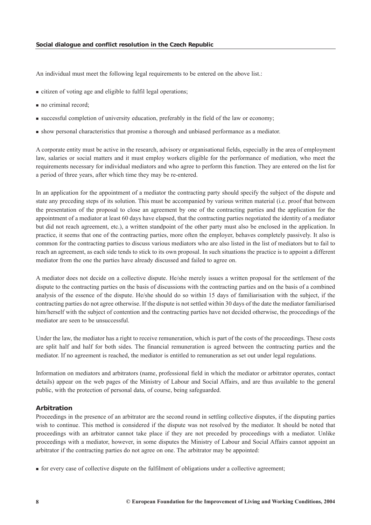An individual must meet the following legal requirements to be entered on the above list.:

- citizen of voting age and eligible to fulfil legal operations;
- no criminal record;
- successful completion of university education, preferably in the field of the law or economy;
- show personal characteristics that promise a thorough and unbiased performance as a mediator.

A corporate entity must be active in the research, advisory or organisational fields, especially in the area of employment law, salaries or social matters and it must employ workers eligible for the performance of mediation, who meet the requirements necessary for individual mediators and who agree to perform this function. They are entered on the list for a period of three years, after which time they may be re-entered.

In an application for the appointment of a mediator the contracting party should specify the subject of the dispute and state any preceding steps of its solution. This must be accompanied by various written material (i.e. proof that between the presentation of the proposal to close an agreement by one of the contracting parties and the application for the appointment of a mediator at least 60 days have elapsed, that the contracting parties negotiated the identity of a mediator but did not reach agreement, etc.), a written standpoint of the other party must also be enclosed in the application. In practice, it seems that one of the contracting parties, more often the employer, behaves completely passively. It also is common for the contracting parties to discuss various mediators who are also listed in the list of mediators but to fail to reach an agreement, as each side tends to stick to its own proposal. In such situations the practice is to appoint a different mediator from the one the parties have already discussed and failed to agree on.

A mediator does not decide on a collective dispute. He/she merely issues a written proposal for the settlement of the dispute to the contracting parties on the basis of discussions with the contracting parties and on the basis of a combined analysis of the essence of the dispute. He/she should do so within 15 days of familiarisation with the subject, if the contracting parties do not agree otherwise. If the dispute is not settled within 30 days of the date the mediator familiarised him/herself with the subject of contention and the contracting parties have not decided otherwise, the proceedings of the mediator are seen to be unsuccessful.

Under the law, the mediator has a right to receive remuneration, which is part of the costs of the proceedings. These costs are split half and half for both sides. The financial remuneration is agreed between the contracting parties and the mediator. If no agreement is reached, the mediator is entitled to remuneration as set out under legal regulations.

Information on mediators and arbitrators (name, professional field in which the mediator or arbitrator operates, contact details) appear on the web pages of the Ministry of Labour and Social Affairs, and are thus available to the general public, with the protection of personal data, of course, being safeguarded.

#### *Arbitration*

Proceedings in the presence of an arbitrator are the second round in settling collective disputes, if the disputing parties wish to continue. This method is considered if the dispute was not resolved by the mediator. It should be noted that proceedings with an arbitrator cannot take place if they are not preceded by proceedings with a mediator. Unlike proceedings with a mediator, however, in some disputes the Ministry of Labour and Social Affairs cannot appoint an arbitrator if the contracting parties do not agree on one. The arbitrator may be appointed:

**for every case of collective dispute on the fulfilment of obligations under a collective agreement:**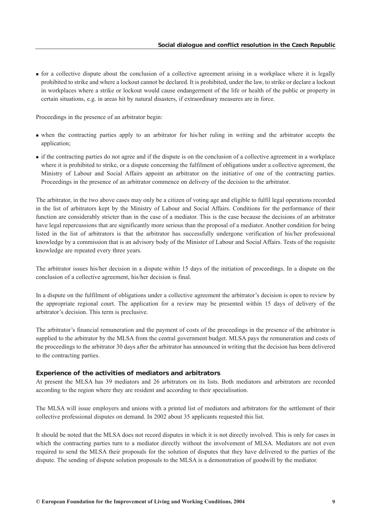for a collective dispute about the conclusion of a collective agreement arising in a workplace where it is legally prohibited to strike and where a lockout cannot be declared. It is prohibited, under the law, to strike or declare a lockout in workplaces where a strike or lockout would cause endangerment of the life or health of the public or property in certain situations, e.g. in areas hit by natural disasters, if extraordinary measures are in force.

Proceedings in the presence of an arbitrator begin:

- when the contracting parties apply to an arbitrator for his/her ruling in writing and the arbitrator accepts the application;
- if the contracting parties do not agree and if the dispute is on the conclusion of a collective agreement in a workplace where it is prohibited to strike, or a dispute concerning the fulfilment of obligations under a collective agreement, the Ministry of Labour and Social Affairs appoint an arbitrator on the initiative of one of the contracting parties. Proceedings in the presence of an arbitrator commence on delivery of the decision to the arbitrator.

The arbitrator, in the two above cases may only be a citizen of voting age and eligible to fulfil legal operations recorded in the list of arbitrators kept by the Ministry of Labour and Social Affairs. Conditions for the performance of their function are considerably stricter than in the case of a mediator. This is the case because the decisions of an arbitrator have legal repercussions that are significantly more serious than the proposal of a mediator. Another condition for being listed in the list of arbitrators is that the arbitrator has successfully undergone verification of his/her professional knowledge by a commission that is an advisory body of the Minister of Labour and Social Affairs. Tests of the requisite knowledge are repeated every three years.

The arbitrator issues his/her decision in a dispute within 15 days of the initiation of proceedings. In a dispute on the conclusion of a collective agreement, his/her decision is final.

In a dispute on the fulfilment of obligations under a collective agreement the arbitrator's decision is open to review by the appropriate regional court. The application for a review may be presented within 15 days of delivery of the arbitrator's decision. This term is preclusive.

The arbitrator's financial remuneration and the payment of costs of the proceedings in the presence of the arbitrator is supplied to the arbitrator by the MLSA from the central government budget. MLSA pays the remuneration and costs of the proceedings to the arbitrator 30 days after the arbitrator has announced in writing that the decision has been delivered to the contracting parties.

## *Experience of the activities of mediators and arbitrators*

At present the MLSA has 39 mediators and 26 arbitrators on its lists. Both mediators and arbitrators are recorded according to the region where they are resident and according to their specialisation.

The MLSA will issue employers and unions with a printed list of mediators and arbitrators for the settlement of their collective professional disputes on demand. In 2002 about 35 applicants requested this list.

It should be noted that the MLSA does not record disputes in which it is not directly involved. This is only for cases in which the contracting parties turn to a mediator directly without the involvement of MLSA. Mediators are not even required to send the MLSA their proposals for the solution of disputes that they have delivered to the parties of the dispute. The sending of dispute solution proposals to the MLSA is a demonstration of goodwill by the mediator.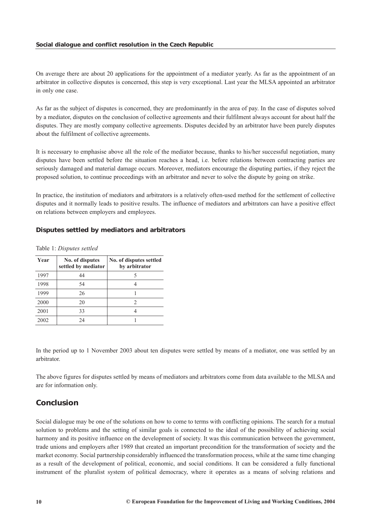<span id="page-10-0"></span>On average there are about 20 applications for the appointment of a mediator yearly. As far as the appointment of an arbitrator in collective disputes is concerned, this step is very exceptional. Last year the MLSA appointed an arbitrator in only one case.

As far as the subject of disputes is concerned, they are predominantly in the area of pay. In the case of disputes solved by a mediator, disputes on the conclusion of collective agreements and their fulfilment always account for about half the disputes. They are mostly company collective agreements. Disputes decided by an arbitrator have been purely disputes about the fulfilment of collective agreements.

It is necessary to emphasise above all the role of the mediator because, thanks to his/her successful negotiation, many disputes have been settled before the situation reaches a head, i.e. before relations between contracting parties are seriously damaged and material damage occurs. Moreover, mediators encourage the disputing parties, if they reject the proposed solution, to continue proceedings with an arbitrator and never to solve the dispute by going on strike.

In practice, the institution of mediators and arbitrators is a relatively often-used method for the settlement of collective disputes and it normally leads to positive results. The influence of mediators and arbitrators can have a positive effect on relations between employers and employees.

## *Disputes settled by mediators and arbitrators*

| Year | No. of disputes<br>settled by mediator | No. of disputes settled<br>by arbitrator |
|------|----------------------------------------|------------------------------------------|
| 1997 | 44                                     |                                          |
| 1998 | 54                                     |                                          |
| 1999 | 26                                     |                                          |
| 2000 | 20                                     |                                          |
| 2001 | 33                                     |                                          |
| 2002 | 24                                     |                                          |

Table 1: *Disputes settled*

In the period up to 1 November 2003 about ten disputes were settled by means of a mediator, one was settled by an arbitrator.

The above figures for disputes settled by means of mediators and arbitrators come from data available to the MLSA and are for information only.

# *Conclusion*

Social dialogue may be one of the solutions on how to come to terms with conflicting opinions. The search for a mutual solution to problems and the setting of similar goals is connected to the ideal of the possibility of achieving social harmony and its positive influence on the development of society. It was this communication between the government, trade unions and employers after 1989 that created an important precondition for the transformation of society and the market economy. Social partnership considerably influenced the transformation process, while at the same time changing as a result of the development of political, economic, and social conditions. It can be considered a fully functional instrument of the pluralist system of political democracy, where it operates as a means of solving relations and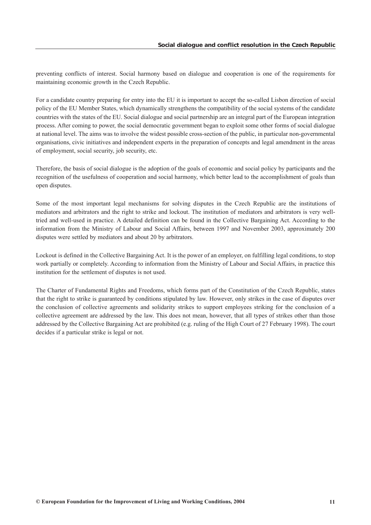preventing conflicts of interest. Social harmony based on dialogue and cooperation is one of the requirements for maintaining economic growth in the Czech Republic.

For a candidate country preparing for entry into the EU it is important to accept the so-called Lisbon direction of social policy of the EU Member States, which dynamically strengthens the compatibility of the social systems of the candidate countries with the states of the EU. Social dialogue and social partnership are an integral part of the European integration process. After coming to power, the social democratic government began to exploit some other forms of social dialogue at national level. The aims was to involve the widest possible cross-section of the public, in particular non-governmental organisations, civic initiatives and independent experts in the preparation of concepts and legal amendment in the areas of employment, social security, job security, etc.

Therefore, the basis of social dialogue is the adoption of the goals of economic and social policy by participants and the recognition of the usefulness of cooperation and social harmony, which better lead to the accomplishment of goals than open disputes.

Some of the most important legal mechanisms for solving disputes in the Czech Republic are the institutions of mediators and arbitrators and the right to strike and lockout. The institution of mediators and arbitrators is very welltried and well-used in practice. A detailed definition can be found in the Collective Bargaining Act. According to the information from the Ministry of Labour and Social Affairs, between 1997 and November 2003, approximately 200 disputes were settled by mediators and about 20 by arbitrators.

Lockout is defined in the Collective Bargaining Act. It is the power of an employer, on fulfilling legal conditions, to stop work partially or completely. According to information from the Ministry of Labour and Social Affairs, in practice this institution for the settlement of disputes is not used.

The Charter of Fundamental Rights and Freedoms, which forms part of the Constitution of the Czech Republic, states that the right to strike is guaranteed by conditions stipulated by law. However, only strikes in the case of disputes over the conclusion of collective agreements and solidarity strikes to support employees striking for the conclusion of a collective agreement are addressed by the law. This does not mean, however, that all types of strikes other than those addressed by the Collective Bargaining Act are prohibited (e.g. ruling of the High Court of 27 February 1998). The court decides if a particular strike is legal or not.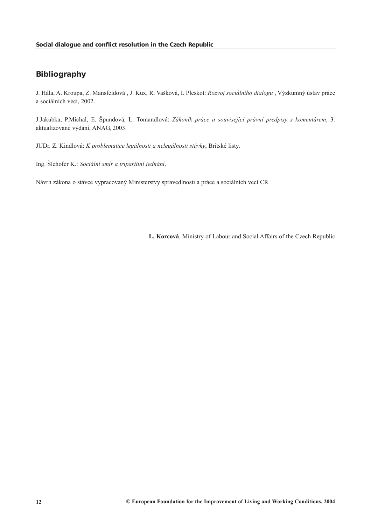# <span id="page-12-0"></span>*Bibliography*

J. Hála, A. Kroupa, Z. Mansfeldová , J. Kux, R. Vašková, I. Pleskot: *Rozvoj sociálního dialogu* , Výzkumný ústav práce a sociálních vecí, 2002.

J.Jakubka, P.Michal, E. Špundová, L. Tomandlová: *Zákoník práce a související právní predpisy s komentárem*, 3. aktualizované vydání, ANAG, 2003.

JUDr. Z. Kindlová: *K problematice legálnosti a nelegálnosti stávky*, Britské listy.

Ing. Šlehofer K.: *Sociální smír a tripartitní jednání*.

Návrh zákona o stávce vypracovaný Ministerstvy spravedlnosti a práce a sociálních vecí CR

**L. Korcová**, Ministry of Labour and Social Affairs of the Czech Republic